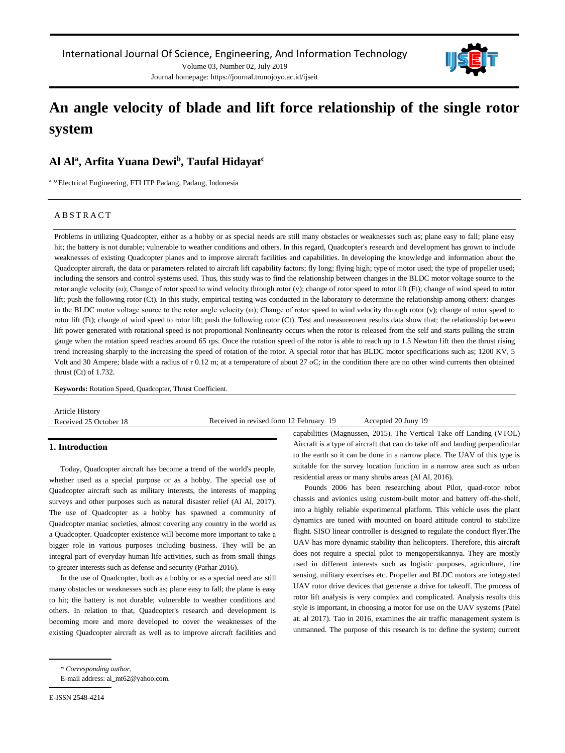Journal homepage: https://journal.trunojoyo.ac.id/ijseit



# **An angle velocity of blade and lift force relationship of the single rotor system**

## **Al Al<sup>a</sup> , Arfita Yuana Dewi<sup>b</sup> , Taufal Hidayat<sup>c</sup>**

a,b,cElectrical Engineering, FTI ITP Padang, Padang, Indonesia

## A B S T R A C T

Problems in utilizing Quadcopter, either as a hobby or as special needs are still many obstacles or weaknesses such as; plane easy to fall; plane easy hit; the battery is not durable; vulnerable to weather conditions and others. In this regard, Quadcopter's research and development has grown to include weaknesses of existing Quadcopter planes and to improve aircraft facilities and capabilities. In developing the knowledge and information about the Quadcopter aircraft, the data or parameters related to aircraft lift capability factors; fly long; flying high; type of motor used; the type of propeller used; including the sensors and control systems used. Thus, this study was to find the relationship between changes in the BLDC motor voltage source to the rotor angle velocity (ω); Change of rotor speed to wind velocity through rotor (ν); change of rotor speed to rotor lift (Ft); change of wind speed to rotor lift; push the following rotor (Ct). In this study, empirical testing was conducted in the laboratory to determine the relationship among others: changes in the BLDC motor voltage source to the rotor angle velocity (ω); Change of rotor speed to wind velocity through rotor (v); change of rotor speed to rotor lift (Ft); change of wind speed to rotor lift; push the following rotor (Ct). Test and measurement results data show that; the relationship between lift power generated with rotational speed is not proportional Nonlinearity occurs when the rotor is released from the self and starts pulling the strain gauge when the rotation speed reaches around 65 rps. Once the rotation speed of the rotor is able to reach up to 1.5 Newton lift then the thrust rising trend increasing sharply to the increasing the speed of rotation of the rotor. A special rotor that has BLDC motor specifications such as; 1200 KV, 5 Volt and 30 Ampere; blade with a radius of r 0.12 m; at a temperature of about 27 oC; in the condition there are no other wind currents then obtained thrust (Ct) of 1.732.

**Keywords:** Rotation Speed, Quadcopter, Thrust Coefficient.

| <b>Article History</b> |                                         |                     |
|------------------------|-----------------------------------------|---------------------|
| Received 25 October 18 | Received in revised form 12 February 19 | Accepted 20 Juny 19 |
|                        |                                         |                     |

## **1. Introduction**

Today, Quadcopter aircraft has become a trend of the world's people, whether used as a special purpose or as a hobby. The special use of Quadcopter aircraft such as military interests, the interests of mapping surveys and other purposes such as natural disaster relief (Al Al, 2017). The use of Quadcopter as a hobby has spawned a community of Quadcopter maniac societies, almost covering any country in the world as a Quadcopter. Quadcopter existence will become more important to take a bigger role in various purposes including business. They will be an integral part of everyday human life activities, such as from small things to greater interests such as defense and security (Parhar 2016).

In the use of Quadcopter, both as a hobby or as a special need are still many obstacles or weaknesses such as; plane easy to fall; the plane is easy to hit; the battery is not durable; vulnerable to weather conditions and others. In relation to that, Quadcopter's research and development is becoming more and more developed to cover the weaknesses of the existing Quadcopter aircraft as well as to improve aircraft facilities and capabilities (Magnussen, 2015). The Vertical Take off Landing (VTOL) Aircraft is a type of aircraft that can do take off and landing perpendicular to the earth so it can be done in a narrow place. The UAV of this type is suitable for the survey location function in a narrow area such as urban residential areas or many shrubs areas (Al Al, 2016).

Pounds 2006 has been researching about Pilot, quad-rotor robot chassis and avionics using custom-built motor and battery off-the-shelf, into a highly reliable experimental platform. This vehicle uses the plant dynamics are tuned with mounted on board attitude control to stabilize flight. SISO linear controller is designed to regulate the conduct flyer.The UAV has more dynamic stability than helicopters. Therefore, this aircraft does not require a special pilot to mengopersikannya. They are mostly used in different interests such as logistic purposes, agriculture, fire sensing, military exercises etc. Propeller and BLDC motors are integrated UAV rotor drive devices that generate a drive for takeoff. The process of rotor lift analysis is very complex and complicated. Analysis results this style is important, in choosing a motor for use on the UAV systems (Patel at. al 2017). Tao in 2016, examines the air traffic management system is unmanned. The purpose of this research is to: define the system; current

<sup>\*</sup> *Corresponding author.*

E-mail address: al\_mt62@yahoo.com.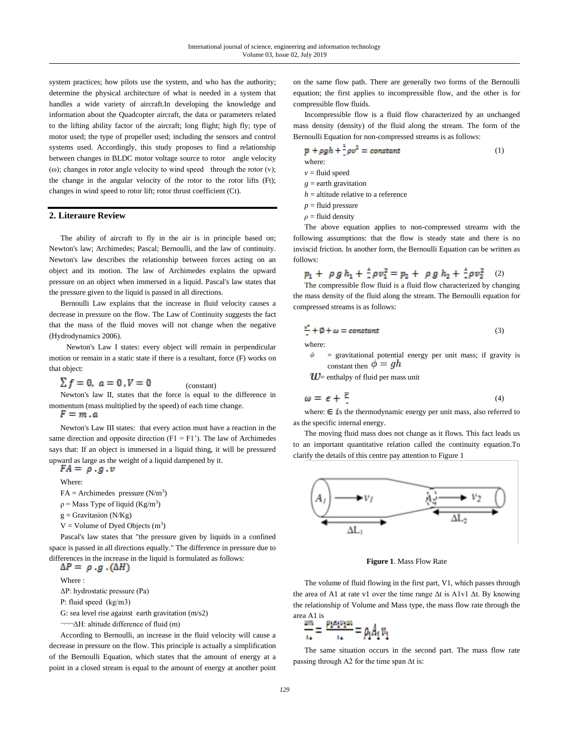system practices; how pilots use the system, and who has the authority; determine the physical architecture of what is needed in a system that handles a wide variety of aircraft.In developing the knowledge and information about the Quadcopter aircraft, the data or parameters related to the lifting ability factor of the aircraft; long flight; high fly; type of motor used; the type of propeller used; including the sensors and control systems used. Accordingly, this study proposes to find a relationship between changes in BLDC motor voltage source to rotor angle velocity (ω); changes in rotor angle velocity to wind speed through the rotor (v); the change in the angular velocity of the rotor to the rotor lifts (Ft); changes in wind speed to rotor lift; rotor thrust coefficient (Ct).

#### **2. Literaure Review**

The ability of aircraft to fly in the air is in principle based on; Newton's law; Archimedes; Pascal; Bernoulli, and the law of continuity. Newton's law describes the relationship between forces acting on an object and its motion. The law of Archimedes explains the upward pressure on an object when immersed in a liquid. Pascal's law states that the pressure given to the liquid is passed in all directions.

Bernoulli Law explains that the increase in fluid velocity causes a decrease in pressure on the flow. The Law of Continuity suggests the fact that the mass of the fluid moves will not change when the negative (Hydrodynamics 2006).

 Newton's Law I states: every object will remain in perpendicular motion or remain in a static state if there is a resultant, force (F) works on that object:

 $\sum f = 0, a = 0, V = 0$ (constant)

Newton's law II, states that the force is equal to the difference in momentum (mass multiplied by the speed) of each time change.<br> $F = m \cdot a$ 

Newton's Law III states: that every action must have a reaction in the same direction and opposite direction  $(F1 = F1)$ . The law of Archimedes says that: If an object is immersed in a liquid thing, it will be pressured upward as large as the weight of a liquid dampened by it.

 $FA = \rho .g .v$ 

Where:

 $FA = Archimedes$  pressure  $(N/m<sup>3</sup>)$ 

 $\rho$  = Mass Type of liquid (Kg/m<sup>3</sup>)

 $g =$  Gravitasion (N/Kg)

 $V =$  Volume of Dyed Objects  $(m<sup>3</sup>)$ 

Pascal's law states that "the pressure given by liquids in a confined space is passed in all directions equally." The difference in pressure due to differences in the increase in the liquid is formulated as follows:

 $\Delta P = \rho \cdot g \cdot (\Delta H)$ Where : ΔP: hydrostatic pressure (Pa) Ρ: fluid speed (kg/m3)

G: sea level rise against earth gravitation (m/s2)

¬¬¬ΔH: altitude difference of fluid (m)

According to Bernoulli, an increase in the fluid velocity will cause a decrease in pressure on the flow. This principle is actually a simplification of the Bernoulli Equation, which states that the amount of energy at a point in a closed stream is equal to the amount of energy at another point on the same flow path. There are generally two forms of the Bernoulli equation; the first applies to incompressible flow, and the other is for compressible flow fluids.

Incompressible flow is a fluid flow characterized by an unchanged mass density (density) of the fluid along the stream. The form of the Bernoulli Equation for non-compressed streams is as follows:

$$
p + \rho gh + \frac{1}{2}\rho v^2 = constant \tag{1}
$$

where:

 $v =$  fluid speed

- *g* = earth gravitation
- $h =$  altitude relative to a reference
- $p =$  fluid pressure
- *ρ* = fluid density

The above equation applies to non-compressed streams with the following assumptions: that the flow is steady state and there is no inviscid friction. In another form, the Bernoulli Equation can be written as follows:

$$
p_1 + \rho g h_1 + \frac{1}{6} \rho v_1^2 = p_2 + \rho g h_2 + \frac{1}{6} \rho v_2^2 \quad (2)
$$

The compressible flow fluid is a fluid flow characterized by changing the mass density of the fluid along the stream. The Bernoulli equation for compressed streams is as follows:

$$
\frac{v^2}{2} + \emptyset + \omega = constant
$$
 (3)

 $=$  gravitational potential energy per unit mass; if gravity is constant then  $\phi = gh$ 

 $U=$  enthalpy of fluid per mass unit

$$
\omega = \epsilon + \frac{p}{2} \tag{4}
$$

where:  $\boldsymbol{\in}$  is the thermodynamic energy per unit mass, also referred to as the specific internal energy.

The moving fluid mass does not change as it flows. This fact leads us to an important quantitative relation called the continuity equation.To clarify the details of this centre pay attention to Figure 1



**Figure 1***.* Mass Flow Rate

The volume of fluid flowing in the first part, V1, which passes through the area of A1 at rate v1 over the time range Δt is A1v1 Δt. By knowing the relationship of Volume and Mass type, the mass flow rate through the area A1 is

$$
\frac{\Delta m}{\Delta t} = \frac{p_1 a_1 v_1 \Delta t}{\Delta t} = \rho_1 A_1 v_1
$$

The same situation occurs in the second part. The mass flow rate passing through A2 for the time span Δt is: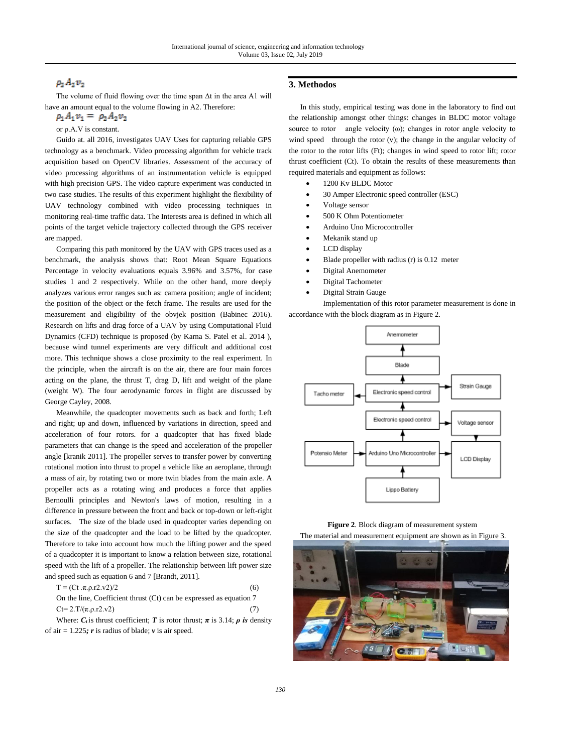## $\rho_2 A_2 v_2$

The volume of fluid flowing over the time span Δt in the area A1 will have an amount equal to the volume flowing in A2. Therefore:

 $\rho_1 A_1 v_1 = \rho_2 A_2 v_2$ 

or ρ.A.V is constant.

Guido at. all 2016, investigates UAV Uses for capturing reliable GPS technology as a benchmark. Video processing algorithm for vehicle track acquisition based on OpenCV libraries. Assessment of the accuracy of video processing algorithms of an instrumentation vehicle is equipped with high precision GPS. The video capture experiment was conducted in two case studies. The results of this experiment highlight the flexibility of UAV technology combined with video processing techniques in monitoring real-time traffic data. The Interests area is defined in which all points of the target vehicle trajectory collected through the GPS receiver are mapped.

Comparing this path monitored by the UAV with GPS traces used as a benchmark, the analysis shows that: Root Mean Square Equations Percentage in velocity evaluations equals 3.96% and 3.57%, for case studies 1 and 2 respectively. While on the other hand, more deeply analyzes various error ranges such as: camera position; angle of incident; the position of the object or the fetch frame. The results are used for the measurement and eligibility of the obvjek position (Babinec 2016). Research on lifts and drag force of a UAV by using Computational Fluid Dynamics (CFD) technique is proposed (by Karna S. Patel et al. 2014 ), because wind tunnel experiments are very difficult and additional cost more. This technique shows a close proximity to the real experiment. In the principle, when the aircraft is on the air, there are four main forces acting on the plane, the thrust T, drag D, lift and weight of the plane (weight W). The four aerodynamic forces in flight are discussed by George Cayley, 2008.

Meanwhile, the quadcopter movements such as back and forth; Left and right; up and down, influenced by variations in direction, speed and acceleration of four rotors. for a quadcopter that has fixed blade parameters that can change is the speed and acceleration of the propeller angle [kranik 2011]. The propeller serves to transfer power by converting rotational motion into thrust to propel a vehicle like an aeroplane, through a mass of air, by rotating two or more twin blades from the main axle. A propeller acts as a rotating wing and produces a force that applies Bernoulli principles and Newton's laws of motion, resulting in a difference in pressure between the front and back or top-down or left-right surfaces. The size of the blade used in quadcopter varies depending on the size of the quadcopter and the load to be lifted by the quadcopter. Therefore to take into account how much the lifting power and the speed of a quadcopter it is important to know a relation between size, rotational speed with the lift of a propeller. The relationship between lift power size and speed such as equation 6 and 7 [Brandt, 2011].

| $T = (Ct \cdot \pi. \rho \cdot r2 \cdot v2)/2$                      | (6) |
|---------------------------------------------------------------------|-----|
| On the line, Coefficient thrust (Ct) can be expressed as equation 7 |     |
| $Ct = 2.T/(\pi.p.r2.v2)$                                            | (7) |

Where:  $C_t$  is thrust coefficient; *T* is rotor thrust;  $\pi$  is 3.14;  $\rho$  is density of air = 1.225*; r* is radius of blade; *v* is air speed.

## **3. Methodos**

In this study, empirical testing was done in the laboratory to find out the relationship amongst other things: changes in BLDC motor voltage source to rotor angle velocity (ω); changes in rotor angle velocity to wind speed through the rotor (v); the change in the angular velocity of the rotor to the rotor lifts (Ft); changes in wind speed to rotor lift; rotor thrust coefficient (Ct). To obtain the results of these measurements than required materials and equipment as follows:

- 1200 Kv BLDC Motor
- 30 Amper Electronic speed controller (ESC)
- Voltage sensor
- 500 K Ohm Potentiometer
- Arduino Uno Microcontroller
- Mekanik stand up
- LCD display
- Blade propeller with radius (r) is 0.12 meter
- Digital Anemometer
- Digital Tachometer
- Digital Strain Gauge

Implementation of this rotor parameter measurement is done in accordance with the block diagram as in Figure 2.





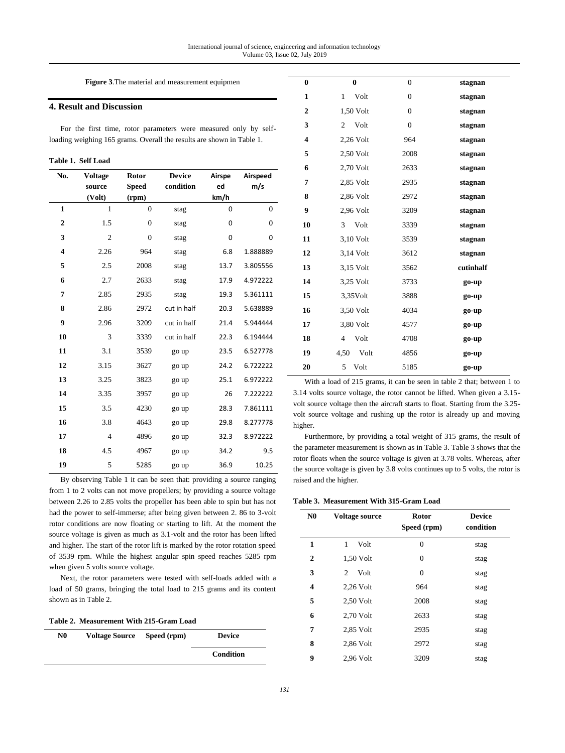**Figure 3***.*The material and measurement equipmen

## **4. Result and Discussion**

For the first time, rotor parameters were measured only by selfloading weighing 165 grams. Overall the results are shown in Table 1.

| Table 1. Self Load |  |
|--------------------|--|
|--------------------|--|

| No.                     | <b>Voltage</b> | Rotor          | <b>Device</b> | Airspe | Airspeed |
|-------------------------|----------------|----------------|---------------|--------|----------|
|                         | source         | <b>Speed</b>   | condition     | ed     | m/s      |
|                         | (Volt)         | (rpm)          |               | km/h   |          |
| $\mathbf{1}$            | $\mathbf{1}$   | $\overline{0}$ | stag          | 0      | 0        |
| $\overline{2}$          | 1.5            | $\overline{0}$ | stag          | 0      | 0        |
| 3                       | $\overline{c}$ | $\theta$       | stag          | 0      | 0        |
| $\overline{\mathbf{4}}$ | 2.26           | 964            | stag          | 6.8    | 1.888889 |
| 5                       | 2.5            | 2008           | stag          | 13.7   | 3.805556 |
| 6                       | 2.7            | 2633           | stag          | 17.9   | 4.972222 |
| 7                       | 2.85           | 2935           | stag          | 19.3   | 5.361111 |
| 8                       | 2.86           | 2972           | cut in half   | 20.3   | 5.638889 |
| 9                       | 2.96           | 3209           | cut in half   | 21.4   | 5.944444 |
| 10                      | 3              | 3339           | cut in half   | 22.3   | 6.194444 |
| 11                      | 3.1            | 3539           | go up         | 23.5   | 6.527778 |
| 12                      | 3.15           | 3627           | go up         | 24.2   | 6.722222 |
| 13                      | 3.25           | 3823           | go up         | 25.1   | 6.972222 |
| 14                      | 3.35           | 3957           | go up         | 26     | 7.222222 |
| 15                      | 3.5            | 4230           | go up         | 28.3   | 7.861111 |
| 16                      | 3.8            | 4643           | go up         | 29.8   | 8.277778 |
| 17                      | $\overline{4}$ | 4896           | go up         | 32.3   | 8.972222 |
| 18                      | 4.5            | 4967           | go up         | 34.2   | 9.5      |
| 19                      | 5              | 5285           | go up         | 36.9   | 10.25    |

By observing Table 1 it can be seen that: providing a source ranging from 1 to 2 volts can not move propellers; by providing a source voltage between 2.26 to 2.85 volts the propeller has been able to spin but has not had the power to self-immerse; after being given between 2. 86 to 3-volt rotor conditions are now floating or starting to lift. At the moment the source voltage is given as much as 3.1-volt and the rotor has been lifted and higher. The start of the rotor lift is marked by the rotor rotation speed of 3539 rpm. While the highest angular spin speed reaches 5285 rpm when given 5 volts source voltage.

Next, the rotor parameters were tested with self-loads added with a load of 50 grams, bringing the total load to 215 grams and its content shown as in Table 2.

| Table 2. Measurement With 215-Gram Load |  |  |  |  |
|-----------------------------------------|--|--|--|--|
|-----------------------------------------|--|--|--|--|

| N0 | <b>Voltage Source</b> | Speed (rpm) | <b>Device</b> |
|----|-----------------------|-------------|---------------|
|    |                       |             | Condition     |

| $\bf{0}$ | $\bf{0}$               | $\overline{0}$   | stagnan   |
|----------|------------------------|------------------|-----------|
| 1        | Volt<br>1              | $\overline{0}$   | stagnan   |
| 2        | 1,50 Volt              | $\overline{0}$   | stagnan   |
| 3        | Volt<br>2              | $\boldsymbol{0}$ | stagnan   |
| 4        | 2,26 Volt              | 964              | stagnan   |
| 5        | 2,50 Volt              | 2008             | stagnan   |
| 6        | 2,70 Volt              | 2633             | stagnan   |
| 7        | 2,85 Volt              | 2935             | stagnan   |
| 8        | 2,86 Volt              | 2972             | stagnan   |
| 9        | 2,96 Volt              | 3209             | stagnan   |
| 10       | Volt<br>3              | 3339             | stagnan   |
| 11       | 3,10 Volt              | 3539             | stagnan   |
| 12       | 3,14 Volt              | 3612             | stagnan   |
| 13       | 3,15 Volt              | 3562             | cutinhalf |
| 14       | 3,25 Volt              | 3733             | go-up     |
| 15       | $3,35$ Volt            | 3888             | go-up     |
| 16       | 3,50 Volt              | 4034             | go-up     |
| 17       | 3,80 Volt              | 4577             | go-up     |
| 18       | Volt<br>$\overline{4}$ | 4708             | go-up     |
| 19       | 4,50<br>Volt           | 4856             | go-up     |
| 20       | 5<br>Volt              | 5185             | go-up     |

With a load of 215 grams, it can be seen in table 2 that; between 1 to 3.14 volts source voltage, the rotor cannot be lifted. When given a 3.15 volt source voltage then the aircraft starts to float. Starting from the 3.25 volt source voltage and rushing up the rotor is already up and moving higher.

Furthermore, by providing a total weight of 315 grams, the result of the parameter measurement is shown as in Table 3. Table 3 shows that the rotor floats when the source voltage is given at 3.78 volts. Whereas, after the source voltage is given by 3.8 volts continues up to 5 volts, the rotor is raised and the higher.

**Table 3. Measurement With 315-Gram Load**

| N <sub>0</sub> | <b>Voltage source</b> | Rotor<br>Speed (rpm) | <b>Device</b><br>condition |
|----------------|-----------------------|----------------------|----------------------------|
| 1              | 1<br>Volt             | $\overline{0}$       | stag                       |
| $\mathbf 2$    | 1,50 Volt             | $\mathbf{0}$         | stag                       |
| 3              | Volt<br>2             | $\mathbf{0}$         | stag                       |
| 4              | $2,26$ Volt           | 964                  | stag                       |
| 5              | 2,50 Volt             | 2008                 | stag                       |
| 6              | 2,70 Volt             | 2633                 | stag                       |
| 7              | 2,85 Volt             | 2935                 | stag                       |
| 8              | 2,86 Volt             | 2972                 | stag                       |
| 9              | $2.96$ Volt           | 3209                 | stag                       |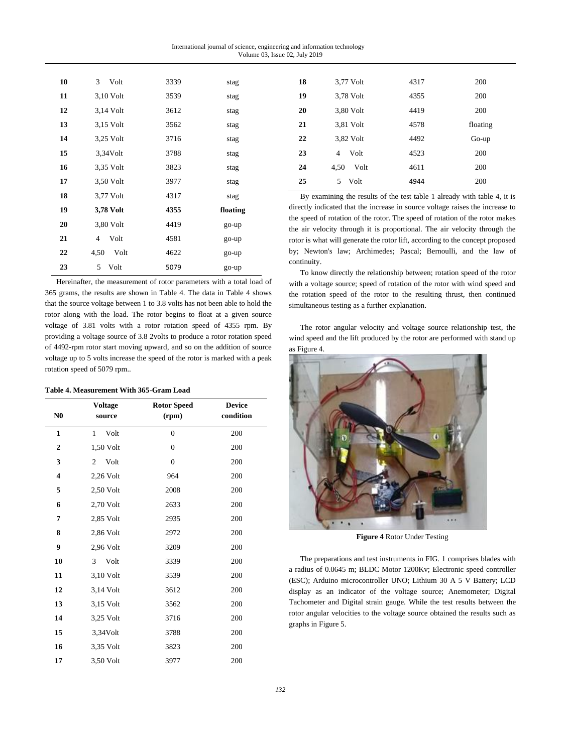International journal of science, engineering and information technology Volume 03, Issue 02, July 2019

| 10 | 3<br>Volt              | 3339 | stag     |
|----|------------------------|------|----------|
| 11 | 3,10 Volt              | 3539 | stag     |
| 12 | 3,14 Volt              | 3612 | stag     |
| 13 | 3,15 Volt              | 3562 | stag     |
| 14 | 3,25 Volt              | 3716 | stag     |
| 15 | 3,34Volt               | 3788 | stag     |
| 16 | 3,35 Volt              | 3823 | stag     |
| 17 | 3,50 Volt              | 3977 | stag     |
| 18 | 3,77 Volt              | 4317 | stag     |
| 19 | 3,78 Volt              | 4355 | floating |
| 20 | 3,80 Volt              | 4419 | go-up    |
| 21 | Volt<br>$\overline{4}$ | 4581 | go-up    |
| 22 | 4,50<br>Volt           | 4622 | go-up    |
| 23 | Volt<br>5              | 5079 | go-up    |

Hereinafter, the measurement of rotor parameters with a total load of 365 grams, the results are shown in Table 4. The data in Table 4 shows that the source voltage between 1 to 3.8 volts has not been able to hold the rotor along with the load. The rotor begins to float at a given source voltage of 3.81 volts with a rotor rotation speed of 4355 rpm. By providing a voltage source of 3.8 2volts to produce a rotor rotation speed of 4492-rpm rotor start moving upward, and so on the addition of source voltage up to 5 volts increase the speed of the rotor is marked with a peak rotation speed of 5079 rpm..

#### **Table 4. Measurement With 365-Gram Load**

|                         | <b>Voltage</b>       | <b>Rotor Speed</b> | <b>Device</b> |
|-------------------------|----------------------|--------------------|---------------|
| N <sub>0</sub>          | source               | (rpm)              | condition     |
| $\mathbf{1}$            | Volt<br>$\mathbf{1}$ | $\overline{0}$     | 200           |
| $\overline{2}$          | 1,50 Volt            | $\overline{0}$     | 200           |
| 3                       | Volt<br>2            | $\overline{0}$     | 200           |
| $\overline{\mathbf{4}}$ | 2,26 Volt            | 964                | 200           |
| 5                       | 2,50 Volt            | 2008               | 200           |
| 6                       | 2,70 Volt            | 2633               | 200           |
| 7                       | 2,85 Volt            | 2935               | 200           |
| 8                       | 2,86 Volt            | 2972               | 200           |
| 9                       | 2,96 Volt            | 3209               | 200           |
| 10                      | 3<br>Volt            | 3339               | 200           |
| 11                      | 3,10 Volt            | 3539               | 200           |
| 12                      | 3,14 Volt            | 3612               | 200           |
| 13                      | 3,15 Volt            | 3562               | 200           |
| 14                      | 3,25 Volt            | 3716               | 200           |
| 15                      | 3,34Volt             | 3788               | 200           |
| 16                      | 3,35 Volt            | 3823               | 200           |
| 17                      | 3,50 Volt            | 3977               | 200           |

| 18 | 3,77 Volt              | 4317 | 200      |
|----|------------------------|------|----------|
| 19 | 3,78 Volt              | 4355 | 200      |
| 20 | 3,80 Volt              | 4419 | 200      |
| 21 | 3,81 Volt              | 4578 | floating |
| 22 | 3,82 Volt              | 4492 | $Go-up$  |
| 23 | Volt<br>$\overline{4}$ | 4523 | 200      |
| 24 | Volt<br>4.50           | 4611 | 200      |
| 25 | Volt<br>5              | 4944 | 200      |

By examining the results of the test table 1 already with table 4, it is directly indicated that the increase in source voltage raises the increase to the speed of rotation of the rotor. The speed of rotation of the rotor makes the air velocity through it is proportional. The air velocity through the rotor is what will generate the rotor lift, according to the concept proposed by; Newton's law; Archimedes; Pascal; Bernoulli, and the law of continuity.

To know directly the relationship between; rotation speed of the rotor with a voltage source; speed of rotation of the rotor with wind speed and the rotation speed of the rotor to the resulting thrust, then continued simultaneous testing as a further explanation.

The rotor angular velocity and voltage source relationship test, the wind speed and the lift produced by the rotor are performed with stand up as Figure 4.



**Figure 4** Rotor Under Testing

The preparations and test instruments in FIG. 1 comprises blades with a radius of 0.0645 m; BLDC Motor 1200Kv; Electronic speed controller (ESC); Arduino microcontroller UNO; Lithium 30 A 5 V Battery; LCD display as an indicator of the voltage source; Anemometer; Digital Tachometer and Digital strain gauge. While the test results between the rotor angular velocities to the voltage source obtained the results such as graphs in Figure 5.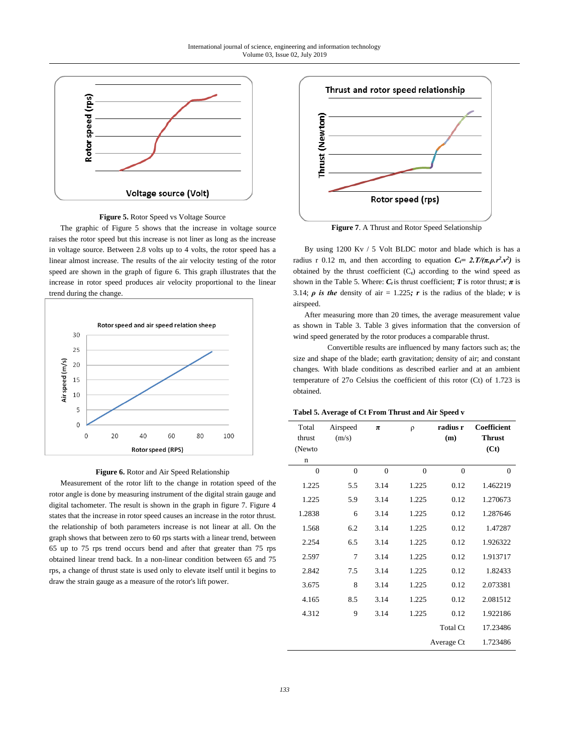

**Figure 5.** Rotor Speed vs Voltage Source

The graphic of Figure 5 shows that the increase in voltage source raises the rotor speed but this increase is not liner as long as the increase in voltage source. Between 2.8 volts up to 4 volts, the rotor speed has a linear almost increase. The results of the air velocity testing of the rotor speed are shown in the graph of figure 6. This graph illustrates that the increase in rotor speed produces air velocity proportional to the linear trend during the change.



**Figure 6.** Rotor and Air Speed Relationship

Measurement of the rotor lift to the change in rotation speed of the rotor angle is done by measuring instrument of the digital strain gauge and digital tachometer. The result is shown in the graph in figure 7. Figure 4 states that the increase in rotor speed causes an increase in the rotor thrust. the relationship of both parameters increase is not linear at all. On the graph shows that between zero to 60 rps starts with a linear trend, between 65 up to 75 rps trend occurs bend and after that greater than 75 rps obtained linear trend back. In a non-linear condition between 65 and 75 rps, a change of thrust state is used only to elevate itself until it begins to draw the strain gauge as a measure of the rotor's lift power.



**Figure 7**. A Thrust and Rotor Speed Selationship

By using 1200 Kv / 5 Volt BLDC motor and blade which is has a radius r 0.12 m, and then according to equation  $C_f = 2 \cdot T/(\pi p \cdot r^2 \cdot v^2)$  is obtained by the thrust coefficient  $(C_t)$  according to the wind speed as shown in the Table 5. Where:  $C_t$  is thrust coefficient; *T* is rotor thrust;  $\pi$  is 3.14; *ρ* is the density of air = 1.225; *r* is the radius of the blade; *v* is airspeed.

After measuring more than 20 times, the average measurement value as shown in Table 3. Table 3 gives information that the conversion of wind speed generated by the rotor produces a comparable thrust.

Convertible results are influenced by many factors such as; the size and shape of the blade; earth gravitation; density of air; and constant changes. With blade conditions as described earlier and at an ambient temperature of 27o Celsius the coefficient of this rotor (Ct) of 1.723 is obtained.

| Tabel 5. Average of Ct From Thrust and Air Speed v |  |
|----------------------------------------------------|--|
|----------------------------------------------------|--|

| Total<br>thrust<br>(Newto<br>n | Airspeed<br>(m/s) | $\pi$    | $\rho$         | radius r<br>(m) | Coefficient<br><b>Thrust</b><br>(Ct) |
|--------------------------------|-------------------|----------|----------------|-----------------|--------------------------------------|
| $\Omega$                       | $\theta$          | $\theta$ | $\overline{0}$ | $\overline{0}$  | $\theta$                             |
| 1.225                          | 5.5               | 3.14     | 1.225          | 0.12            | 1.462219                             |
| 1.225                          | 5.9               | 3.14     | 1.225          | 0.12            | 1.270673                             |
| 1.2838                         | 6                 | 3.14     | 1.225          | 0.12            | 1.287646                             |
| 1.568                          | 6.2               | 3.14     | 1.225          | 0.12            | 1.47287                              |
| 2.254                          | 6.5               | 3.14     | 1.225          | 0.12            | 1.926322                             |
| 2.597                          | 7                 | 3.14     | 1.225          | 0.12            | 1.913717                             |
| 2.842                          | 7.5               | 3.14     | 1.225          | 0.12            | 1.82433                              |
| 3.675                          | 8                 | 3.14     | 1.225          | 0.12            | 2.073381                             |
| 4.165                          | 8.5               | 3.14     | 1.225          | 0.12            | 2.081512                             |
| 4.312                          | 9                 | 3.14     | 1.225          | 0.12            | 1.922186                             |
|                                |                   |          |                | <b>Total Ct</b> | 17.23486                             |
|                                |                   |          |                | Average Ct      | 1.723486                             |